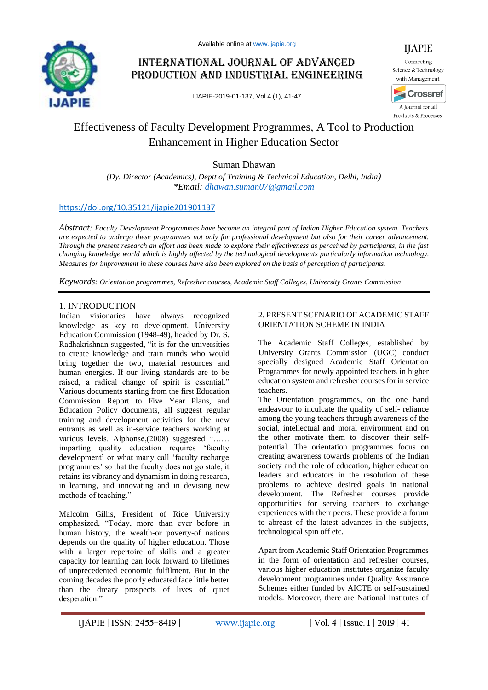

## International Journal of Advanced Production and Industrial Engineering

IJAPIE-2019-01-137, Vol 4 (1), 41-47



Science & Technology with Management.



A Journal for all Products & Processes.

# Effectiveness of Faculty Development Programmes, A Tool to Production Enhancement in Higher Education Sector

Suman Dhawan

*(Dy. Director (Academics), Deptt of Training & Technical Education, Delhi, India) \*Email: [dhawan.suman07@gmail.com](mailto:dhawan.suman07@gmail.com)*

## <https://doi.org/10.35121/ijapie201901137>

*Abstract: Faculty Development Programmes have become an integral part of Indian Higher Education system. Teachers are expected to undergo these programmes not only for professional development but also for their career advancement. Through the present research an effort has been made to explore their effectiveness as perceived by participants, in the fast changing knowledge world which is highly affected by the technological developments particularly information technology. Measures for improvement in these courses have also been explored on the basis of perception of participants.*

*Keywords: Orientation programmes, Refresher courses, Academic Staff Colleges, University Grants Commission*

## 1. INTRODUCTION

Indian visionaries have always recognized knowledge as key to development. University Education Commission (1948-49), headed by Dr. S. Radhakrishnan suggested, "it is for the universities to create knowledge and train minds who would bring together the two, material resources and human energies. If our living standards are to be raised, a radical change of spirit is essential." Various documents starting from the first Education Commission Report to Five Year Plans, and Education Policy documents, all suggest regular training and development activities for the new entrants as well as in-service teachers working at various levels. Alphonse,(2008) suggested "...... imparting quality education requires 'faculty development' or what many call 'faculty recharge programmes' so that the faculty does not go stale, it retains its vibrancy and dynamism in doing research, in learning, and innovating and in devising new methods of teaching."

Malcolm Gillis, President of Rice University emphasized, "Today, more than ever before in human history, the wealth-or poverty-of nations depends on the quality of higher education. Those with a larger repertoire of skills and a greater capacity for learning can look forward to lifetimes of unprecedented economic fulfilment. But in the coming decades the poorly educated face little better than the dreary prospects of lives of quiet desperation."

#### 2. PRESENT SCENARIO OF ACADEMIC STAFF ORIENTATION SCHEME IN INDIA

The Academic Staff Colleges, established by University Grants Commission (UGC) conduct specially designed Academic Staff Orientation Programmes for newly appointed teachers in higher education system and refresher courses for in service teachers.

The Orientation programmes, on the one hand endeavour to inculcate the quality of self- reliance among the young teachers through awareness of the social, intellectual and moral environment and on the other motivate them to discover their selfpotential. The orientation programmes focus on creating awareness towards problems of the Indian society and the role of education, higher education leaders and educators in the resolution of these problems to achieve desired goals in national development. The Refresher courses provide opportunities for serving teachers to exchange experiences with their peers. These provide a forum to abreast of the latest advances in the subjects, technological spin off etc.

Apart from Academic Staff Orientation Programmes in the form of orientation and refresher courses, various higher education institutes organize faculty development programmes under Quality Assurance Schemes either funded by AICTE or self-sustained models. Moreover, there are National Institutes of

**| IJAPIE** | **ISSN: 2455–8419 | [www.ijapie.org](http://www.ijapie.org/) | Vol. 4 | Issue. 1 | 2019 | 41 |**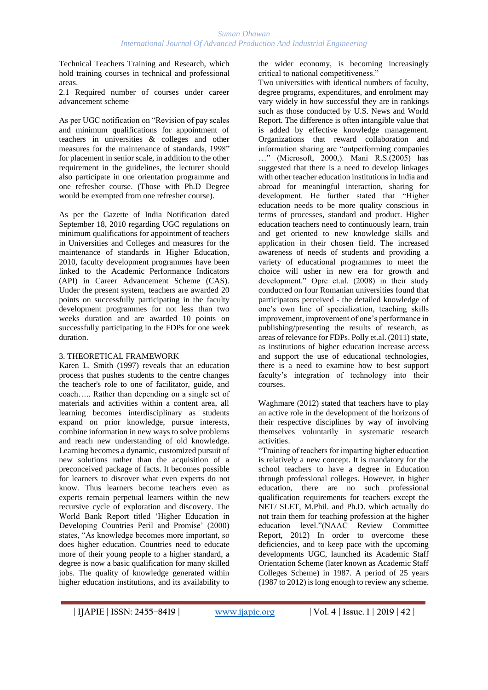Technical Teachers Training and Research, which hold training courses in technical and professional areas.

2.1 Required number of courses under career advancement scheme

As per UGC notification on "Revision of pay scales and minimum qualifications for appointment of teachers in universities & colleges and other measures for the maintenance of standards, 1998" for placement in senior scale, in addition to the other requirement in the guidelines, the lecturer should also participate in one orientation programme and one refresher course. (Those with Ph.D Degree would be exempted from one refresher course).

As per the Gazette of India Notification dated September 18, 2010 regarding UGC regulations on minimum qualifications for appointment of teachers in Universities and Colleges and measures for the maintenance of standards in Higher Education, 2010, faculty development programmes have been linked to the Academic Performance Indicators (API) in Career Advancement Scheme (CAS). Under the present system, teachers are awarded 20 points on successfully participating in the faculty development programmes for not less than two weeks duration and are awarded 10 points on successfully participating in the FDPs for one week duration.

## 3. THEORETICAL FRAMEWORK

Karen L. Smith (1997) reveals that an education process that pushes students to the centre changes the teacher's role to one of facilitator, guide, and coach….. Rather than depending on a single set of materials and activities within a content area, all learning becomes interdisciplinary as students expand on prior knowledge, pursue interests, combine information in new ways to solve problems and reach new understanding of old knowledge. Learning becomes a dynamic, customized pursuit of new solutions rather than the acquisition of a preconceived package of facts. It becomes possible for learners to discover what even experts do not know. Thus learners become teachers even as experts remain perpetual learners within the new recursive cycle of exploration and discovery. The World Bank Report titled 'Higher Education in Developing Countries Peril and Promise' (2000) states, "As knowledge becomes more important, so does higher education. Countries need to educate more of their young people to a higher standard, a degree is now a basic qualification for many skilled jobs. The quality of knowledge generated within higher education institutions, and its availability to

the wider economy, is becoming increasingly critical to national competitiveness."

Two universities with identical numbers of faculty, degree programs, expenditures, and enrolment may vary widely in how successful they are in rankings such as those conducted by U.S. News and World Report. The difference is often intangible value that is added by effective knowledge management. Organizations that reward collaboration and information sharing are "outperforming companies …" (Microsoft, 2000,). Mani R.S.(2005) has suggested that there is a need to develop linkages with other teacher education institutions in India and abroad for meaningful interaction, sharing for development. He further stated that "Higher education needs to be more quality conscious in terms of processes, standard and product. Higher education teachers need to continuously learn, train and get oriented to new knowledge skills and application in their chosen field. The increased awareness of needs of students and providing a variety of educational programmes to meet the choice will usher in new era for growth and development." Opre et.al. (2008) in their study conducted on four Romanian universities found that participators perceived - the detailed knowledge of one's own line of specialization, teaching skills improvement, improvement of one's performance in publishing/presenting the results of research, as areas of relevance for FDPs. Polly et.al. (2011) state, as institutions of higher education increase access and support the use of educational technologies, there is a need to examine how to best support faculty's integration of technology into their courses.

Waghmare (2012) stated that teachers have to play an active role in the development of the horizons of their respective disciplines by way of involving themselves voluntarily in systematic research activities.

"Training of teachers for imparting higher education is relatively a new concept. It is mandatory for the school teachers to have a degree in Education through professional colleges. However, in higher education, there are no such professional qualification requirements for teachers except the NET/ SLET, M.Phil. and Ph.D. which actually do not train them for teaching profession at the higher education level."(NAAC Review Committee Report, 2012) In order to overcome these deficiencies, and to keep pace with the upcoming developments UGC, launched its Academic Staff Orientation Scheme (later known as Academic Staff Colleges Scheme) in 1987. A period of 25 years (1987 to 2012) is long enough to review any scheme.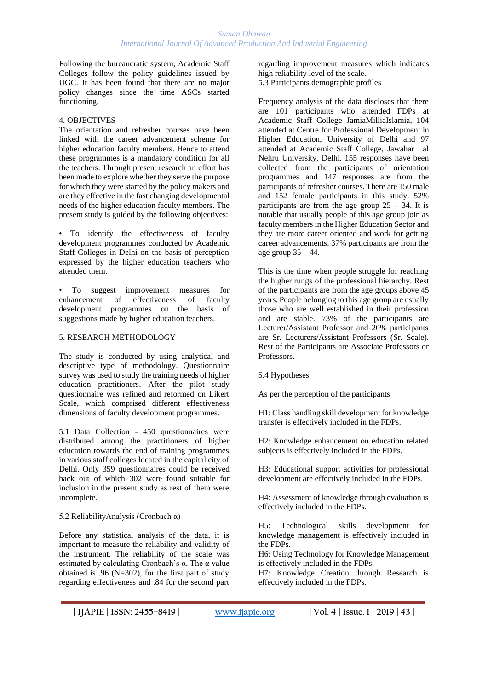Following the bureaucratic system, Academic Staff Colleges follow the policy guidelines issued by UGC. It has been found that there are no major policy changes since the time ASCs started functioning.

### 4. OBJECTIVES

The orientation and refresher courses have been linked with the career advancement scheme for higher education faculty members. Hence to attend these programmes is a mandatory condition for all the teachers. Through present research an effort has been made to explore whether they serve the purpose for which they were started by the policy makers and are they effective in the fast changing developmental needs of the higher education faculty members. The present study is guided by the following objectives:

• To identify the effectiveness of faculty development programmes conducted by Academic Staff Colleges in Delhi on the basis of perception expressed by the higher education teachers who attended them.

To suggest improvement measures for enhancement of effectiveness of faculty development programmes on the basis of suggestions made by higher education teachers.

#### 5. RESEARCH METHODOLOGY

The study is conducted by using analytical and descriptive type of methodology. Questionnaire survey was used to study the training needs of higher education practitioners. After the pilot study questionnaire was refined and reformed on Likert Scale, which comprised different effectiveness dimensions of faculty development programmes.

5.1 Data Collection - 450 questionnaires were distributed among the practitioners of higher education towards the end of training programmes in various staff colleges located in the capital city of Delhi. Only 359 questionnaires could be received back out of which 302 were found suitable for inclusion in the present study as rest of them were incomplete.

## 5.2 ReliabilityAnalysis (Cronbach α)

Before any statistical analysis of the data, it is important to measure the reliability and validity of the instrument. The reliability of the scale was estimated by calculating Cronbach's α. The α value obtained is .96 ( $N=302$ ), for the first part of study regarding effectiveness and .84 for the second part regarding improvement measures which indicates high reliability level of the scale.

5.3 Participants demographic profiles

Frequency analysis of the data discloses that there are 101 participants who attended FDPs at Academic Staff College JamiaMilliaIslamia, 104 attended at Centre for Professional Development in Higher Education, University of Delhi and 97 attended at Academic Staff College, Jawahar Lal Nehru University, Delhi. 155 responses have been collected from the participants of orientation programmes and 147 responses are from the participants of refresher courses. There are 150 male and 152 female participants in this study. 52% participants are from the age group  $25 - 34$ . It is notable that usually people of this age group join as faculty members in the Higher Education Sector and they are more career oriented and work for getting career advancements. 37% participants are from the age group  $35 - 44$ .

This is the time when people struggle for reaching the higher rungs of the professional hierarchy. Rest of the participants are from the age groups above 45 years. People belonging to this age group are usually those who are well established in their profession and are stable. 73% of the participants are Lecturer/Assistant Professor and 20% participants are Sr. Lecturers/Assistant Professors (Sr. Scale). Rest of the Participants are Associate Professors or Professors.

5.4 Hypotheses

As per the perception of the participants

H1: Class handling skill development for knowledge transfer is effectively included in the FDPs.

H2: Knowledge enhancement on education related subjects is effectively included in the FDPs.

H3: Educational support activities for professional development are effectively included in the FDPs.

H4: Assessment of knowledge through evaluation is effectively included in the FDPs.

H5: Technological skills development for knowledge management is effectively included in the FDPs.

H6: Using Technology for Knowledge Management is effectively included in the FDPs.

H7: Knowledge Creation through Research is effectively included in the FDPs.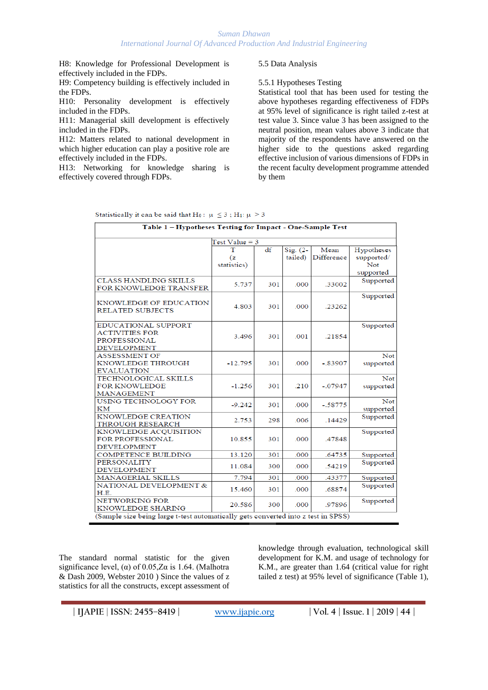#### *Suman Dhawan International Journal Of Advanced Production And Industrial Engineering*

H8: Knowledge for Professional Development is effectively included in the FDPs.

H9: Competency building is effectively included in the FDPs.

H10: Personality development is effectively included in the FDPs.

H11: Managerial skill development is effectively included in the FDPs.

H12: Matters related to national development in which higher education can play a positive role are effectively included in the FDPs.

H13: Networking for knowledge sharing is effectively covered through FDPs.

#### 5.5 Data Analysis

5.5.1 Hypotheses Testing

Statistical tool that has been used for testing the above hypotheses regarding effectiveness of FDPs at 95% level of significance is right tailed z-test at test value 3. Since value 3 has been assigned to the neutral position, mean values above 3 indicate that majority of the respondents have answered on the higher side to the questions asked regarding effective inclusion of various dimensions of FDPs in the recent faculty development programme attended by them

| Statistically it can be said that H <sub>0</sub> : $\mu \leq 3$ ; H <sub>1</sub> : $\mu > 3$ |  |
|----------------------------------------------------------------------------------------------|--|
|----------------------------------------------------------------------------------------------|--|

| Table 1 - Hypotheses Testing for Impact - One-Sample Test                                 |                        |     |                       |                    |                                              |  |  |
|-------------------------------------------------------------------------------------------|------------------------|-----|-----------------------|--------------------|----------------------------------------------|--|--|
|                                                                                           | $Test Value = 3$       |     |                       |                    |                                              |  |  |
|                                                                                           | т<br>(z<br>statistics) | df  | $Sig. (2-$<br>tailed) | Mean<br>Difference | Hypotheses<br>supported/<br>Not<br>supported |  |  |
| <b>CLASS HANDLING SKILLS</b><br>FOR KNOWLEDGE TRANSFER                                    | 5.737                  | 301 | .000                  | .33002             | Supported                                    |  |  |
| KNOWLEDGE OF EDUCATION<br><b>RELATED SUBJECTS</b>                                         | 4.803                  | 301 | .000                  | .23262             | Supported                                    |  |  |
| EDUCATIONAL SUPPORT<br><b>ACTIVITIES FOR</b><br><b>PROFESSIONAL</b><br><b>DEVELOPMENT</b> | 3.496                  | 301 | .001                  | .21854             | Supported                                    |  |  |
| <b>ASSESSMENT OF</b><br>KNOWLEDGE THROUGH<br><b>EVALUATION</b>                            | $-12.795$              | 301 | .000                  | $-.83907$          | Not<br>supported                             |  |  |
| <b>TECHNOLOGICAL SKILLS</b><br><b>FOR KNOWLEDGE</b><br><b>MANAGEMENT</b>                  | $-1.256$               | 301 | .210                  | $-.07947$          | Not<br>supported                             |  |  |
| USING TECHNOLOGY FOR<br>KМ                                                                | $-9.242$               | 301 | .000                  | $-.58775$          | Not<br>supported                             |  |  |
| KNOWLEDGE CREATION<br><b>THROUGH RESEARCH</b>                                             | 2.753                  | 298 | .006                  | .14429             | Supported                                    |  |  |
| KNOWLEDGE ACQUISITION<br>FOR PROFESSIONAL<br><b>DEVELOPMENT</b>                           | 10.855                 | 301 | .000                  | .47848             | Supported                                    |  |  |
| <b>COMPETENCE BUILDING</b>                                                                | 13.120                 | 301 | .000                  | .64735             | Supported                                    |  |  |
| <b>PERSONALITY</b><br><b>DEVELOPMENT</b>                                                  | 11.084                 | 300 | .000                  | .54219             | Supported                                    |  |  |
| MANAGERIAL SKILLS                                                                         | 7.794                  | 301 | .000                  | .43377             | Supported                                    |  |  |
| NATIONAL DEVELOPMENT &<br>H.E.                                                            | 15.460                 | 301 | .000                  | .68874             | Supported                                    |  |  |
| NETWORKING FOR<br>KNOWLEDGE SHARING                                                       | 20.586                 | 300 | .000                  | .97896             | Supported                                    |  |  |
| (Sample size being large t-test automatically gets converted into z test in SPSS)         |                        |     |                       |                    |                                              |  |  |

The standard normal statistic for the given significance level, ( $\alpha$ ) of 0.05, Z $\alpha$  is 1.64. (Malhotra & Dash 2009, Webster 2010 ) Since the values of z statistics for all the constructs, except assessment of

knowledge through evaluation, technological skill development for K.M. and usage of technology for K.M., are greater than 1.64 (critical value for right tailed z test) at 95% level of significance (Table 1),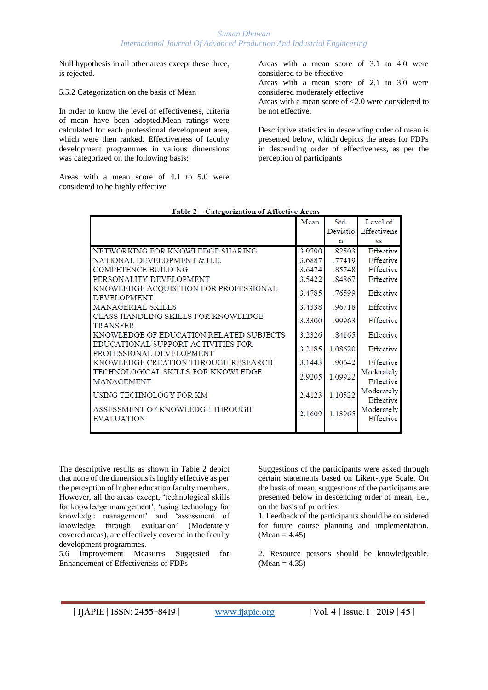Null hypothesis in all other areas except these three, is rejected.

5.5.2 Categorization on the basis of Mean

In order to know the level of effectiveness, criteria of mean have been adopted.Mean ratings were calculated for each professional development area, which were then ranked. Effectiveness of faculty development programmes in various dimensions was categorized on the following basis:

Areas with a mean score of 4.1 to 5.0 were considered to be highly effective

Areas with a mean score of 3.1 to 4.0 were considered to be effective

Areas with a mean score of 2.1 to 3.0 were considered moderately effective

Areas with a mean score of <2.0 were considered to be not effective.

Descriptive statistics in descending order of mean is presented below, which depicts the areas for FDPs in descending order of effectiveness, as per the perception of participants

|                                                                | Mean   | Std.     | Level of                |
|----------------------------------------------------------------|--------|----------|-------------------------|
|                                                                |        | Deviatio | Effectivene             |
|                                                                |        | n        | SS                      |
| NETWORKING FOR KNOWLEDGE SHARING                               | 3.9790 | .82503   | Effective               |
| NATIONAL DEVELOPMENT & H.E.                                    | 3.6887 | .77419   | Effective               |
| <b>COMPETENCE BUILDING</b>                                     | 3.6474 | .85748   | Effective               |
| PERSONALITY DEVELOPMENT                                        | 3.5422 | .84867   | Effective               |
| KNOWLEDGE ACQUISITION FOR PROFESSIONAL<br><b>DEVELOPMENT</b>   | 3.4785 | .76599   | Effective               |
| <b>MANAGERIAL SKILLS</b>                                       | 3.4338 | .96718   | Effective               |
| CLASS HANDLING SKILLS FOR KNOWLEDGE<br><b>TRANSFER</b>         | 3.3300 | .99963   | Effective               |
| KNOWLEDGE OF EDUCATION RELATED SUBJECTS                        | 3.2326 | .84165   | Effective               |
| EDUCATIONAL SUPPORT ACTIVITIES FOR<br>PROFESSIONAL DEVELOPMENT | 3.2185 | 1.08620  | Effective               |
| KNOWLEDGE CREATION THROUGH RESEARCH                            | 3.1443 | .90642   | Effective               |
| TECHNOLOGICAL SKILLS FOR KNOWLEDGE<br><b>MANAGEMENT</b>        | 2.9205 | 1.09922  | Moderately<br>Effective |
| USING TECHNOLOGY FOR KM                                        | 2.4123 | 1.10522  | Moderately<br>Effective |
| ASSESSMENT OF KNOWLEDGE THROUGH<br><b>EVALUATION</b>           | 2.1609 | 1.13965  | Moderately<br>Effective |
|                                                                |        |          |                         |

Table 2 - Categorization of Affective Areas

The descriptive results as shown in Table 2 depict that none of the dimensions is highly effective as per the perception of higher education faculty members. However, all the areas except, 'technological skills for knowledge management', 'using technology for knowledge management' and 'assessment of knowledge through evaluation' (Moderately covered areas), are effectively covered in the faculty development programmes.

5.6 Improvement Measures Suggested for Enhancement of Effectiveness of FDPs

Suggestions of the participants were asked through certain statements based on Likert-type Scale. On the basis of mean, suggestions of the participants are presented below in descending order of mean, i.e., on the basis of priorities:

1. Feedback of the participants should be considered for future course planning and implementation.  $(Mean = 4.45)$ 

2. Resource persons should be knowledgeable.  $(Mean = 4.35)$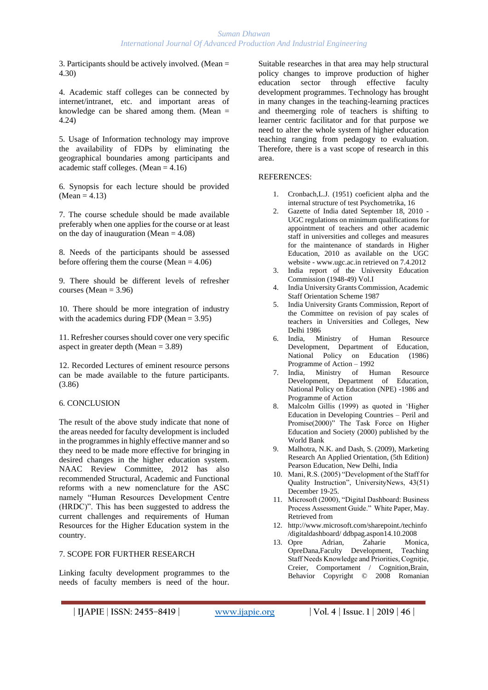3. Participants should be actively involved. (Mean = 4.30)

4. Academic staff colleges can be connected by internet/intranet, etc. and important areas of knowledge can be shared among them. (Mean  $=$ 4.24)

5. Usage of Information technology may improve the availability of FDPs by eliminating the geographical boundaries among participants and academic staff colleges. (Mean  $= 4.16$ )

6. Synopsis for each lecture should be provided  $(Mean = 4.13)$ 

7. The course schedule should be made available preferably when one applies for the course or at least on the day of inauguration (Mean  $= 4.08$ )

8. Needs of the participants should be assessed before offering them the course (Mean = 4.06)

9. There should be different levels of refresher courses (Mean  $= 3.96$ )

10. There should be more integration of industry with the academics during FDP (Mean = 3.95)

11. Refresher courses should cover one very specific aspect in greater depth (Mean = 3.89)

12. Recorded Lectures of eminent resource persons can be made available to the future participants. (3.86)

## 6. CONCLUSION

The result of the above study indicate that none of the areas needed for faculty development is included in the programmes in highly effective manner and so they need to be made more effective for bringing in desired changes in the higher education system. NAAC Review Committee, 2012 has also recommended Structural, Academic and Functional reforms with a new nomenclature for the ASC namely "Human Resources Development Centre (HRDC)". This has been suggested to address the current challenges and requirements of Human Resources for the Higher Education system in the country.

#### 7. SCOPE FOR FURTHER RESEARCH

Linking faculty development programmes to the needs of faculty members is need of the hour.

Suitable researches in that area may help structural policy changes to improve production of higher education sector through effective faculty development programmes. Technology has brought in many changes in the teaching-learning practices and theemerging role of teachers is shifting to learner centric facilitator and for that purpose we need to alter the whole system of higher education teaching ranging from pedagogy to evaluation. Therefore, there is a vast scope of research in this area.

#### REFERENCES:

- 1. Cronbach,L.J. (1951) coeficient alpha and the internal structure of test Psychometrika, 16
- 2. Gazette of India dated September 18, 2010 UGC regulations on minimum qualifications for appointment of teachers and other academic staff in universities and colleges and measures for the maintenance of standards in Higher Education, 2010 as available on the UGC website - www.ugc.ac.in retrieved on 7.4.2012
- 3. India report of the University Education Commission (1948-49) Vol.I
- 4. India University Grants Commission, Academic Staff Orientation Scheme 1987
- 5. India University Grants Commission, Report of the Committee on revision of pay scales of teachers in Universities and Colleges, New Delhi 1986
- 6. India, Ministry of Human Resource Development, Department of Education, National Policy on Education (1986) Programme of Action – 1992
- 7. India, Ministry of Human Resource Development, Department of Education, National Policy on Education (NPE) -1986 and Programme of Action
- 8. Malcolm Gillis (1999) as quoted in 'Higher Education in Developing Countries – Peril and Promise(2000)" The Task Force on Higher Education and Society (2000) published by the World Bank
- 9. Malhotra, N.K. and Dash, S. (2009), Marketing Research An Applied Orientation, (5th Edition) Pearson Education, New Delhi, India
- 10. Mani, R.S. (2005) "Development of the Staff for Quality Instruction", UniversityNews, 43(51) December 19-25.
- 11. Microsoft (2000), "Digital Dashboard: Business Process Assessment Guide." White Paper, May. Retrieved from
- 12. http://www.microsoft.com/sharepoint./techinfo /digitaldashboard/ ddbpag.aspon14.10.2008
- 13. Opre Adrian, Zaharie Monica, OpreDana,Faculty Development, Teaching Staff Needs Knowledge and Priorities, Cogniţie, Creier, Comportament / Cognition,Brain, Behavior Copyright © 2008 Romanian

```
| IJAPIE | ISSN: 2455–8419 | www.ijapie.org | Vol. 4 | Issue. 1 | 2019 | 46 |
```